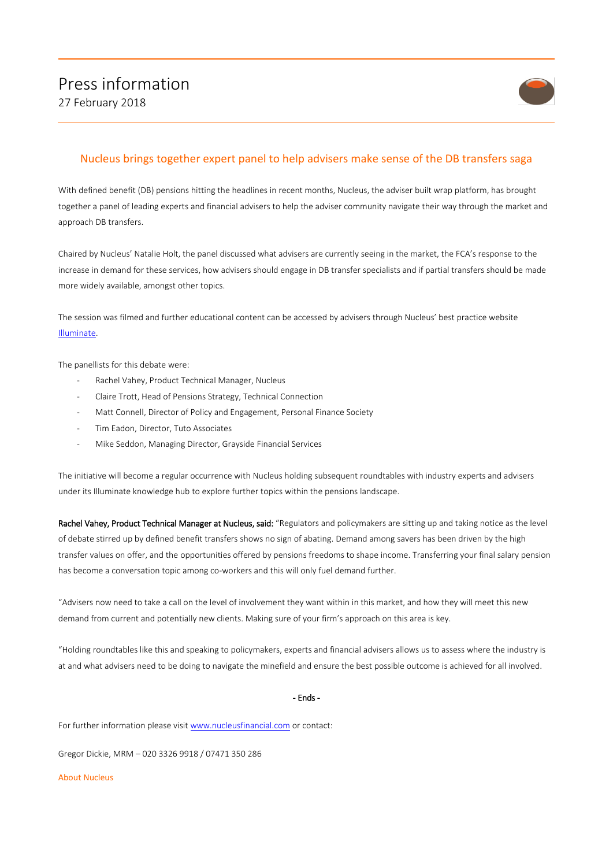

## Nucleus brings together expert panel to help advisers make sense of the DB transfers saga

With defined benefit (DB) pensions hitting the headlines in recent months, Nucleus, the adviser built wrap platform, has brought together a panel of leading experts and financial advisers to help the adviser community navigate their way through the market and approach DB transfers.

Chaired by Nucleus' Natalie Holt, the panel discussed what advisers are currently seeing in the market, the FCA's response to the increase in demand for these services, how advisers should engage in DB transfer specialists and if partial transfers should be made more widely available, amongst other topics.

The session was filmed and further educational content can be accessed by advisers through Nucleus' best practice website [Illuminate.](https://illuminate.nucleusfinancial.com/technical-studio/)

The panellists for this debate were:

- Rachel Vahey, Product Technical Manager, Nucleus
- Claire Trott, Head of Pensions Strategy, Technical Connection
- Matt Connell, Director of Policy and Engagement, Personal Finance Society
- Tim Eadon, Director, Tuto Associates
- Mike Seddon, Managing Director, Grayside Financial Services

The initiative will become a regular occurrence with Nucleus holding subsequent roundtables with industry experts and advisers under its Illuminate knowledge hub to explore further topics within the pensions landscape.

Rachel Vahey, Product Technical Manager at Nucleus, said: "Regulators and policymakers are sitting up and taking notice as the level of debate stirred up by defined benefit transfers shows no sign of abating. Demand among savers has been driven by the high transfer values on offer, and the opportunities offered by pensions freedoms to shape income. Transferring your final salary pension has become a conversation topic among co-workers and this will only fuel demand further.

"Advisers now need to take a call on the level of involvement they want within in this market, and how they will meet this new demand from current and potentially new clients. Making sure of your firm's approach on this area is key.

"Holding roundtables like this and speaking to policymakers, experts and financial advisers allows us to assess where the industry is at and what advisers need to be doing to navigate the minefield and ensure the best possible outcome is achieved for all involved.

## - Ends -

For further information please visit [www.nucleusfinancial.com](http://www.nucleusfinancial.com/) or contact:

Gregor Dickie, MRM – 020 3326 9918 / 07471 350 286

About Nucleus